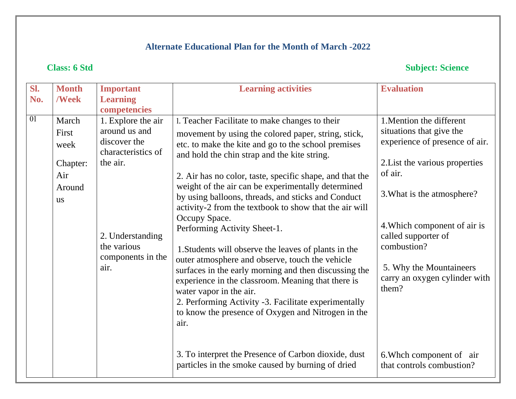# **Class: 6 Std Subject: Science**

| <b>Learning</b><br>/Week<br>No.<br>competencies<br>01<br>1. Explore the air<br>March<br>1. Teacher Facilitate to make changes to their<br>around us and<br>First<br>movement by using the colored paper, string, stick,<br>discover the<br>etc. to make the kite and go to the school premises<br>week<br>characteristics of<br>and hold the chin strap and the kite string.                                                                                                                                                                                                                                                                                                                                                                                                                                                                                                                                                     |                                                                                                                                                                                                                                                                                                                                     |
|----------------------------------------------------------------------------------------------------------------------------------------------------------------------------------------------------------------------------------------------------------------------------------------------------------------------------------------------------------------------------------------------------------------------------------------------------------------------------------------------------------------------------------------------------------------------------------------------------------------------------------------------------------------------------------------------------------------------------------------------------------------------------------------------------------------------------------------------------------------------------------------------------------------------------------|-------------------------------------------------------------------------------------------------------------------------------------------------------------------------------------------------------------------------------------------------------------------------------------------------------------------------------------|
|                                                                                                                                                                                                                                                                                                                                                                                                                                                                                                                                                                                                                                                                                                                                                                                                                                                                                                                                  |                                                                                                                                                                                                                                                                                                                                     |
| the air.<br>Chapter:<br>of air.<br>Air<br>2. Air has no color, taste, specific shape, and that the<br>weight of the air can be experimentally determined<br>Around<br>by using balloons, threads, and sticks and Conduct<br><b>us</b><br>activity-2 from the textbook to show that the air will<br>Occupy Space.<br>Performing Activity Sheet-1.<br>2. Understanding<br>combustion?<br>the various<br>1. Students will observe the leaves of plants in the<br>components in the<br>outer atmosphere and observe, touch the vehicle<br>air.<br>surfaces in the early morning and then discussing the<br>experience in the classroom. Meaning that there is<br>them?<br>water vapor in the air.<br>2. Performing Activity -3. Facilitate experimentally<br>to know the presence of Oxygen and Nitrogen in the<br>air.<br>3. To interpret the Presence of Carbon dioxide, dust<br>particles in the smoke caused by burning of dried | 1. Mention the different<br>situations that give the<br>experience of presence of air.<br>2. List the various properties<br>3. What is the atmosphere?<br>4. Which component of air is<br>called supporter of<br>5. Why the Mountaineers<br>carry an oxygen cylinder with<br>6. Which component of air<br>that controls combustion? |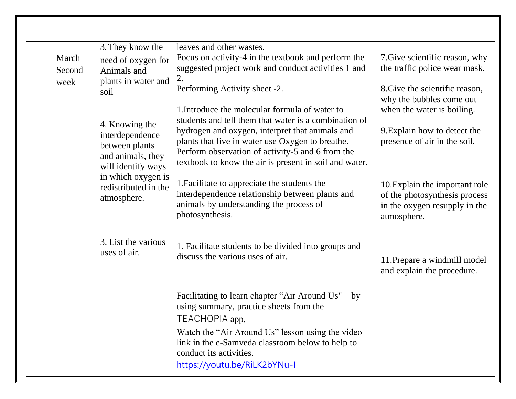|        | 3. They know the     | leaves and other wastes.                               |                                |
|--------|----------------------|--------------------------------------------------------|--------------------------------|
| March  | need of oxygen for   | Focus on activity-4 in the textbook and perform the    | 7. Give scientific reason, why |
| Second | Animals and          | suggested project work and conduct activities 1 and    | the traffic police wear mask.  |
| week   | plants in water and  | 2.                                                     |                                |
|        | soil                 | Performing Activity sheet -2.                          | 8. Give the scientific reason, |
|        |                      |                                                        | why the bubbles come out       |
|        |                      | 1. Introduce the molecular formula of water to         | when the water is boiling.     |
|        |                      | students and tell them that water is a combination of  |                                |
|        | 4. Knowing the       | hydrogen and oxygen, interpret that animals and        | 9. Explain how to detect the   |
|        | interdependence      | plants that live in water use Oxygen to breathe.       | presence of air in the soil.   |
|        | between plants       | Perform observation of activity-5 and 6 from the       |                                |
|        | and animals, they    | textbook to know the air is present in soil and water. |                                |
|        | will identify ways   |                                                        |                                |
|        | in which oxygen is   |                                                        |                                |
|        | redistributed in the | 1. Facilitate to appreciate the students the           | 10. Explain the important role |
|        | atmosphere.          | interdependence relationship between plants and        | of the photosynthesis process  |
|        |                      | animals by understanding the process of                | in the oxygen resupply in the  |
|        |                      | photosynthesis.                                        | atmosphere.                    |
|        |                      |                                                        |                                |
|        | 3. List the various  |                                                        |                                |
|        | uses of air.         | 1. Facilitate students to be divided into groups and   |                                |
|        |                      | discuss the various uses of air.                       | 11. Prepare a windmill model   |
|        |                      |                                                        | and explain the procedure.     |
|        |                      |                                                        |                                |
|        |                      |                                                        |                                |
|        |                      | Facilitating to learn chapter "Air Around Us"<br>by    |                                |
|        |                      | using summary, practice sheets from the                |                                |
|        |                      | TEACHOPIA app,                                         |                                |
|        |                      | Watch the "Air Around Us" lesson using the video       |                                |
|        |                      |                                                        |                                |
|        |                      | link in the e-Samveda classroom below to help to       |                                |
|        |                      | conduct its activities.                                |                                |
|        |                      | https://youtu.be/RiLK2bYNu-I                           |                                |
|        |                      |                                                        |                                |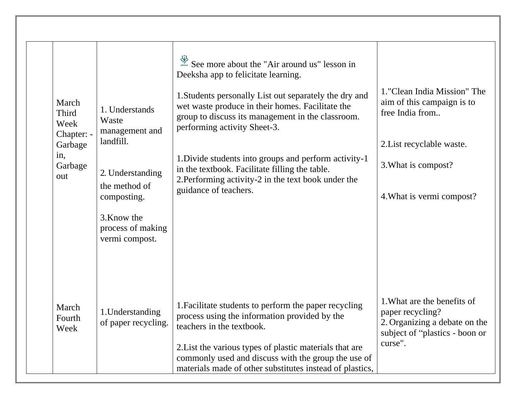| March<br><b>Third</b><br>Week<br>Chapter: -<br>Garbage<br>in,<br>Garbage<br>out | 1. Understands<br>Waste<br>management and<br>landfill.<br>2. Understanding<br>the method of<br>composting.<br>3. Know the<br>process of making<br>vermi compost. | See more about the "Air around us" lesson in<br>Deeksha app to felicitate learning.<br>1. Students personally List out separately the dry and<br>wet waste produce in their homes. Facilitate the<br>group to discuss its management in the classroom.<br>performing activity Sheet-3.<br>1. Divide students into groups and perform activity-1<br>in the textbook. Facilitate filling the table.<br>2. Performing activity-2 in the text book under the<br>guidance of teachers. | 1. "Clean India Mission" The<br>aim of this campaign is to<br>free India from<br>2. List recyclable waste.<br>3. What is compost?<br>4. What is vermi compost? |
|---------------------------------------------------------------------------------|------------------------------------------------------------------------------------------------------------------------------------------------------------------|-----------------------------------------------------------------------------------------------------------------------------------------------------------------------------------------------------------------------------------------------------------------------------------------------------------------------------------------------------------------------------------------------------------------------------------------------------------------------------------|----------------------------------------------------------------------------------------------------------------------------------------------------------------|
| March<br>Fourth<br>Week                                                         | 1. Understanding<br>of paper recycling.                                                                                                                          | 1. Facilitate students to perform the paper recycling<br>process using the information provided by the<br>teachers in the textbook.<br>2. List the various types of plastic materials that are<br>commonly used and discuss with the group the use of<br>materials made of other substitutes instead of plastics,                                                                                                                                                                 | 1. What are the benefits of<br>paper recycling?<br>2. Organizing a debate on the<br>subject of "plastics - boon or<br>curse".                                  |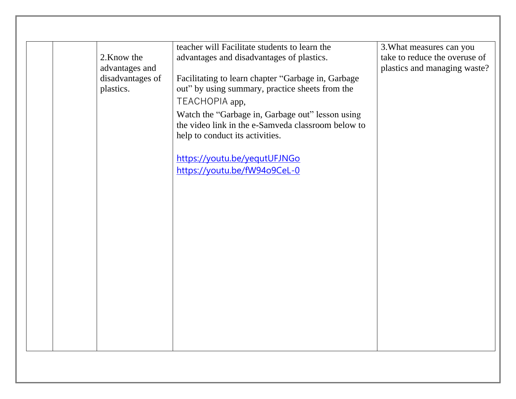|                  | teacher will Facilitate students to learn the      | 3. What measures can you      |
|------------------|----------------------------------------------------|-------------------------------|
| 2. Know the      | advantages and disadvantages of plastics.          | take to reduce the overuse of |
| advantages and   |                                                    | plastics and managing waste?  |
| disadvantages of | Facilitating to learn chapter "Garbage in, Garbage |                               |
| plastics.        | out" by using summary, practice sheets from the    |                               |
|                  | TEACHOPIA app,                                     |                               |
|                  |                                                    |                               |
|                  | Watch the "Garbage in, Garbage out" lesson using   |                               |
|                  | the video link in the e-Samveda classroom below to |                               |
|                  | help to conduct its activities.                    |                               |
|                  |                                                    |                               |
|                  | https://youtu.be/yequtUFJNGo                       |                               |
|                  | https://youtu.be/fW94o9CeL-0                       |                               |
|                  |                                                    |                               |
|                  |                                                    |                               |
|                  |                                                    |                               |
|                  |                                                    |                               |
|                  |                                                    |                               |
|                  |                                                    |                               |
|                  |                                                    |                               |
|                  |                                                    |                               |
|                  |                                                    |                               |
|                  |                                                    |                               |
|                  |                                                    |                               |
|                  |                                                    |                               |
|                  |                                                    |                               |
|                  |                                                    |                               |
|                  |                                                    |                               |
|                  |                                                    |                               |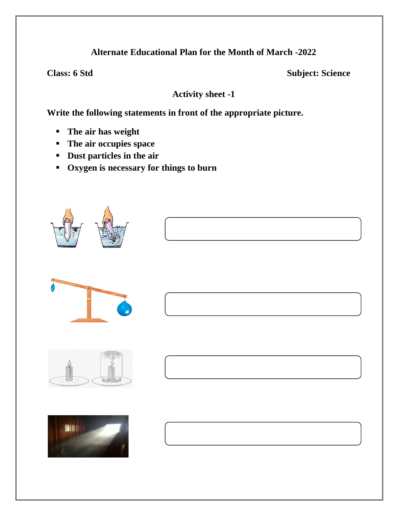**Class: 6 Std** Subject: Science

**Activity sheet -1**

**Write the following statements in front of the appropriate picture.**

- **The air has weight**
- **The air occupies space**
- **Dust particles in the air**
- **Oxygen is necessary for things to burn**





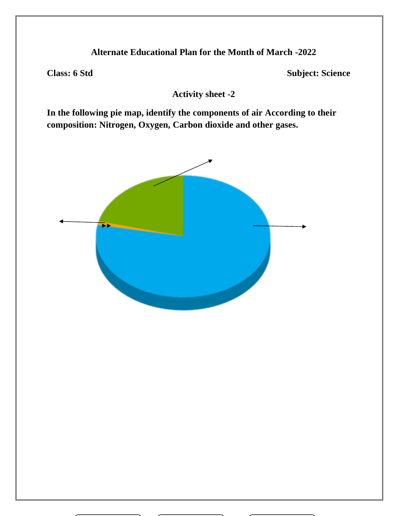**Class: 6 Std** Subject: Science

**Activity sheet -2**

**In the following pie map, identify the components of air According to their composition: Nitrogen, Oxygen, Carbon dioxide and other gases.**

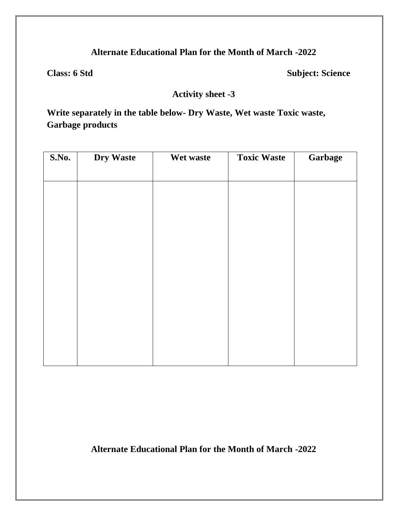**Class: 6 Std** Subject: Science

**Activity sheet -3**

**Write separately in the table below- Dry Waste, Wet waste Toxic waste, Garbage products**

| S.No. | <b>Dry Waste</b> | Wet waste | <b>Toxic Waste</b> | Garbage |
|-------|------------------|-----------|--------------------|---------|
|       |                  |           |                    |         |
|       |                  |           |                    |         |
|       |                  |           |                    |         |
|       |                  |           |                    |         |
|       |                  |           |                    |         |
|       |                  |           |                    |         |
|       |                  |           |                    |         |
|       |                  |           |                    |         |
|       |                  |           |                    |         |
|       |                  |           |                    |         |
|       |                  |           |                    |         |
|       |                  |           |                    |         |

**Alternate Educational Plan for the Month of March -2022**